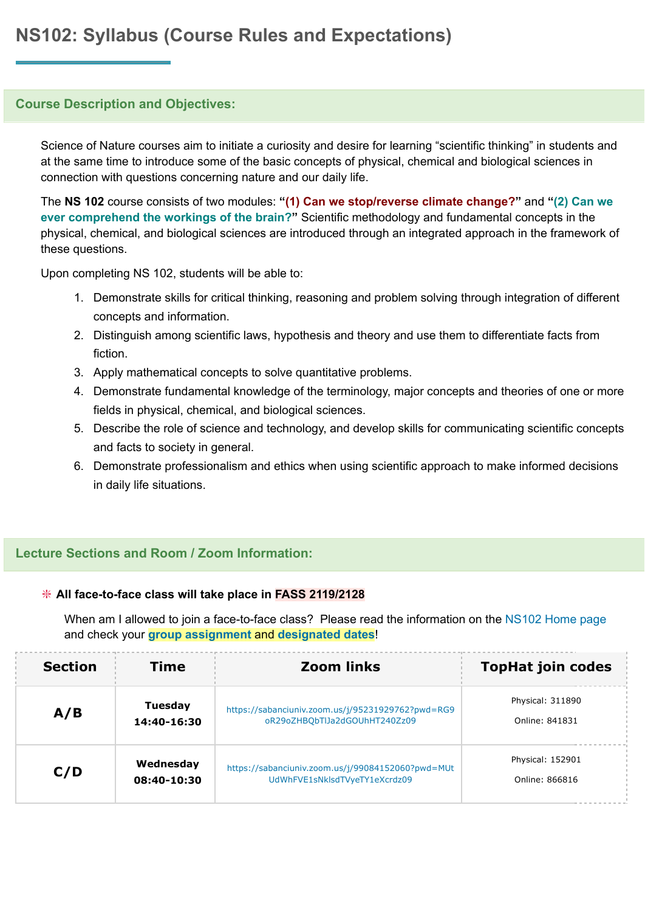## **Course Description and Objectives:**

Science of Nature courses aim to initiate a curiosity and desire for learning "scientific thinking" in students and at the same time to introduce some of the basic concepts of physical, chemical and biological sciences in connection with questions concerning nature and our daily life.

The **NS 102** course consists of two modules: **"(1) Can we stop/reverse climate change?"** and **"(2) Can we ever comprehend the workings of the brain?"** Scientific methodology and fundamental concepts in the physical, chemical, and biological sciences are introduced through an integrated approach in the framework of these questions.

Upon completing NS 102, students will be able to:

- 1. Demonstrate skills for critical thinking, reasoning and problem solving through integration of different concepts and information.
- 2. Distinguish among scientific laws, hypothesis and theory and use them to differentiate facts from fiction.
- 3. Apply mathematical concepts to solve quantitative problems.
- 4. Demonstrate fundamental knowledge of the terminology, major concepts and theories of one or more fields in physical, chemical, and biological sciences.
- 5. Describe the role of science and technology, and develop skills for communicating scientific concepts and facts to society in general.
- 6. Demonstrate professionalism and ethics when using scientific approach to make informed decisions in daily life situations.

## **Lecture Sections and Room / Zoom Information:**

#### ❇ **All face-to-face class will take place in FASS 2119/2128**

When am I allowed to join a face-to-face class? Please read the information on the [NS102](https://sucourse.sabanciuniv.edu/plus/course/view.php?id=3570§ion=0) Home page and check your **group [assignment](https://sucourse.sabanciuniv.edu/plus/pluginfile.php/326837/mod_label/intro/NS102-GroupAssignment.pdf)** and **[designated](https://sucourse.sabanciuniv.edu/plus/pluginfile.php/326837/mod_label/intro/NS102-GroupSchedule.pdf) dates**!

| <b>Section</b> | Time        | <b>Zoom links</b>                                 | <b>TopHat join codes</b> |
|----------------|-------------|---------------------------------------------------|--------------------------|
| A/B            | Tuesday     | https://sabanciuniv.zoom.us/j/95231929762?pwd=RG9 | Physical: 311890         |
|                | 14:40-16:30 | oR29oZHBQbTlJa2dGOUhHT240Zz09                     | Online: 841831           |
| C/D            | Wednesday   | https://sabanciuniv.zoom.us/j/99084152060?pwd=MUt | Physical: 152901         |
|                | 08:40-10:30 | UdWhFVE1sNklsdTVyeTY1eXcrdz09                     | Online: 866816           |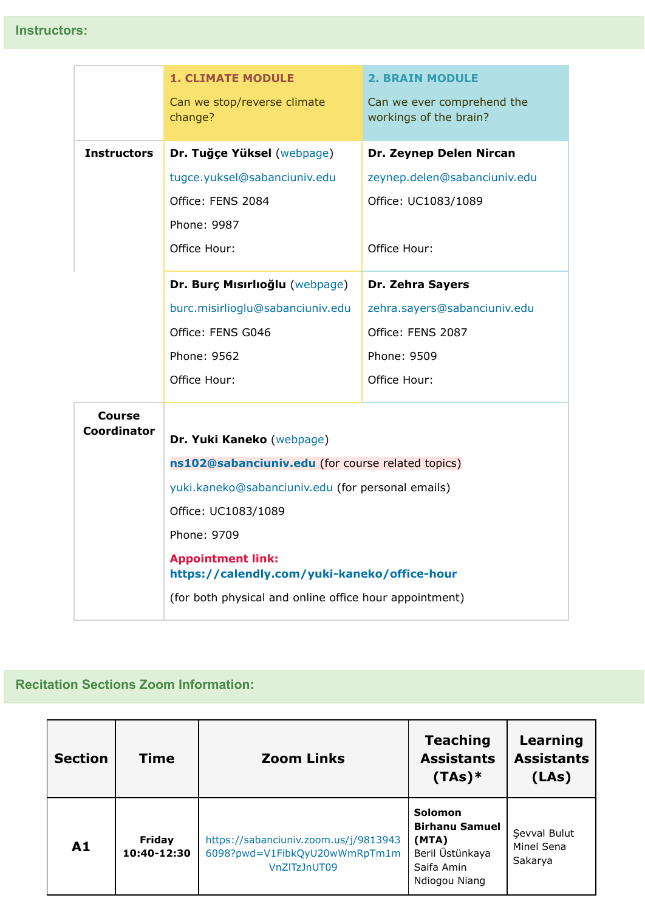|                              | <b>1. CLIMATE MODULE</b>                                                 | <b>2. BRAIN MODULE</b>                               |  |  |  |
|------------------------------|--------------------------------------------------------------------------|------------------------------------------------------|--|--|--|
|                              | Can we stop/reverse climate<br>change?                                   | Can we ever comprehend the<br>workings of the brain? |  |  |  |
| <b>Instructors</b>           | Dr. Tuğçe Yüksel (webpage)                                               | Dr. Zeynep Delen Nircan                              |  |  |  |
|                              | tugce.yuksel@sabanciuniv.edu                                             | zeynep.delen@sabanciuniv.edu                         |  |  |  |
|                              | Office: FENS 2084                                                        | Office: UC1083/1089                                  |  |  |  |
|                              | Phone: 9987                                                              |                                                      |  |  |  |
|                              | Office Hour:                                                             | Office Hour:                                         |  |  |  |
|                              | Dr. Burç Mısırlıoğlu (webpage)                                           | Dr. Zehra Sayers                                     |  |  |  |
|                              | burc.misirlioglu@sabanciuniv.edu                                         | zehra.sayers@sabanciuniv.edu                         |  |  |  |
|                              | Office: FENS G046                                                        | Office: FENS 2087                                    |  |  |  |
|                              | Phone: 9562                                                              | Phone: 9509                                          |  |  |  |
|                              | Office Hour:                                                             | Office Hour:                                         |  |  |  |
| <b>Course</b><br>Coordinator | Dr. Yuki Kaneko (webpage)                                                |                                                      |  |  |  |
|                              | ns102@sabanciuniv.edu (for course related topics)                        |                                                      |  |  |  |
|                              | yuki.kaneko@sabanciuniv.edu (for personal emails)                        |                                                      |  |  |  |
|                              | Office: UC1083/1089                                                      |                                                      |  |  |  |
|                              | Phone: 9709                                                              |                                                      |  |  |  |
|                              | <b>Appointment link:</b><br>https://calendly.com/yuki-kaneko/office-hour |                                                      |  |  |  |
|                              | (for both physical and online office hour appointment)                   |                                                      |  |  |  |

# **Recitation Sections Zoom Information:**

| <b>Section</b> | Time                         | <b>Zoom Links</b>                                                                      | <b>Teaching</b><br><b>Assistants</b><br>$(TAs)*$                                            | Learning<br><b>Assistants</b><br>(LAs) |
|----------------|------------------------------|----------------------------------------------------------------------------------------|---------------------------------------------------------------------------------------------|----------------------------------------|
| A1             | <b>Friday</b><br>10:40-12:30 | https://sabanciuniv.zoom.us/j/9813943<br>6098?pwd=V1FibkQyU20wWmRpTm1m<br>VnZITzJnUT09 | Solomon<br><b>Birhanu Samuel</b><br>(MTA)<br>Beril Üstünkaya<br>Saifa Amin<br>Ndiogou Niang | Sevval Bulut<br>Minel Sena<br>Sakarya  |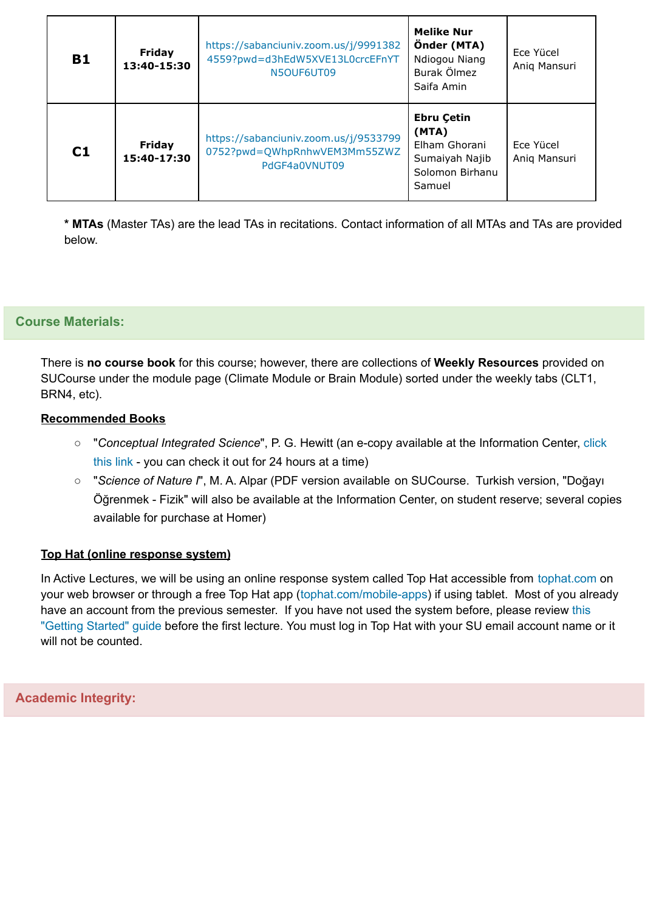| <b>B1</b> | <b>Friday</b><br>13:40-15:30 | https://sabanciuniv.zoom.us/j/9991382<br>4559?pwd=d3hEdW5XVE13L0crcEFnYT<br>N5OUF6UT09 | <b>Melike Nur</b><br>Önder (MTA)<br>Ndiogou Niang<br>Burak Ölmez<br>Saifa Amin             | Ece Yücel<br>Aniq Mansuri |
|-----------|------------------------------|----------------------------------------------------------------------------------------|--------------------------------------------------------------------------------------------|---------------------------|
| C1        | Friday<br>15:40-17:30        | https://sabanciuniv.zoom.us/j/9533799<br>0752?pwd=QWhpRnhwVEM3Mm55ZWZ<br>PdGF4a0VNUT09 | <b>Ebru Çetin</b><br>(MTA)<br>Elham Ghorani<br>Sumaiyah Najib<br>Solomon Birhanu<br>Samuel | Ece Yücel<br>Anig Mansuri |

**\* MTAs** (Master TAs) are the lead TAs in recitations. Contact information of all MTAs and TAs are provided below.

## **Course Materials:**

There is **no course book** for this course; however, there are collections of **Weekly Resources** provided on SUCourse under the module page (Climate Module or Brain Module) sorted under the weekly tabs (CLT1, BRN4, etc).

#### **Recommended Books**

- "*Conceptual Integrated Science*", P. G. Hewitt (an e-copy available at the Information Center, [click](https://risc01.sabanciuniv.edu/record=b2486639) [this](https://risc01.sabanciuniv.edu/record=b2486639) link - you can check it out for 24 hours at a time)
- "*Science of Nature I*", M. A. Alpar (PDF version available on SUCourse. Turkish version, "Doğayı Öğrenmek - Fizik" will also be available at the Information Center, on student reserve; several copies available for purchase at Homer)

## **Top Hat (online response system)**

In Active Lectures, we will be using an online response system called Top Hat accessible from [tophat.com](http://tophat.com/) on your web browser or through a free Top Hat app ([tophat.com/mobile-apps](https://tophat.com/mobile-apps/)) if using tablet. Most of you already have an account from the previous semester. If you have not used the system before, please review [this](https://support.tophat.com/hc/en-us/articles/200019034-Top-Hat-Overview-Getting-Started) "Getting [Started"](https://support.tophat.com/hc/en-us/articles/200019034-Top-Hat-Overview-Getting-Started) guide before the first lecture. You must log in Top Hat with your SU email account name or it will not be counted.

**Academic Integrity:**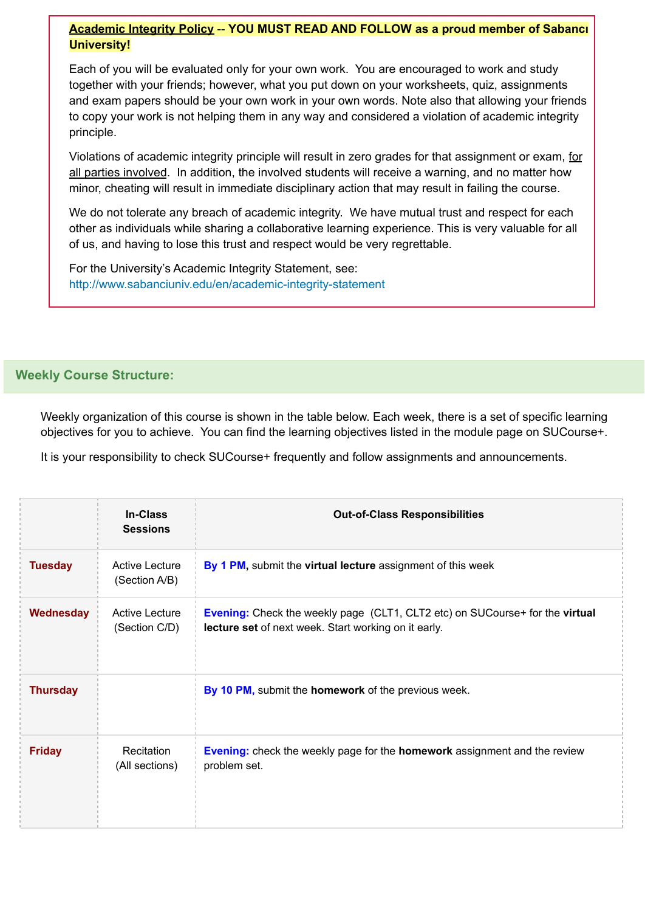## **Academic Integrity Policy** -- **YOU MUST READ AND FOLLOW as a proud member of Sabancı University!**

Each of you will be evaluated only for your own work. You are encouraged to work and study together with your friends; however, what you put down on your worksheets, quiz, assignments and exam papers should be your own work in your own words. Note also that allowing your friends to copy your work is not helping them in any way and considered a violation of academic integrity principle.

Violations of academic integrity principle will result in zero grades for that assignment or exam, for all parties involved. In addition, the involved students will receive a warning, and no matter how minor, cheating will result in immediate disciplinary action that may result in failing the course.

We do not tolerate any breach of academic integrity. We have mutual trust and respect for each other as individuals while sharing a collaborative learning experience. This is very valuable for all of us, and having to lose this trust and respect would be very regrettable.

For the University's Academic Integrity Statement, see: <http://www.sabanciuniv.edu/en/academic-integrity-statement>

# **Weekly Course Structure:**

Weekly organization of this course is shown in the table below. Each week, there is a set of specific learning objectives for you to achieve. You can find the learning objectives listed in the module page on SUCourse+.

It is your responsibility to check SUCourse+ frequently and follow assignments and announcements.

|                 | <b>In-Class</b><br><b>Sessions</b>     | <b>Out-of-Class Responsibilities</b>                                                                                                 |
|-----------------|----------------------------------------|--------------------------------------------------------------------------------------------------------------------------------------|
| <b>Tuesday</b>  | Active Lecture<br>(Section A/B)        | By 1 PM, submit the virtual lecture assignment of this week                                                                          |
| Wednesday       | <b>Active Lecture</b><br>(Section C/D) | Evening: Check the weekly page (CLT1, CLT2 etc) on SUCourse+ for the virtual<br>lecture set of next week. Start working on it early. |
| <b>Thursday</b> |                                        | By 10 PM, submit the homework of the previous week.                                                                                  |
| <b>Friday</b>   | Recitation<br>(All sections)           | <b>Evening:</b> check the weekly page for the <b>homework</b> assignment and the review<br>problem set.                              |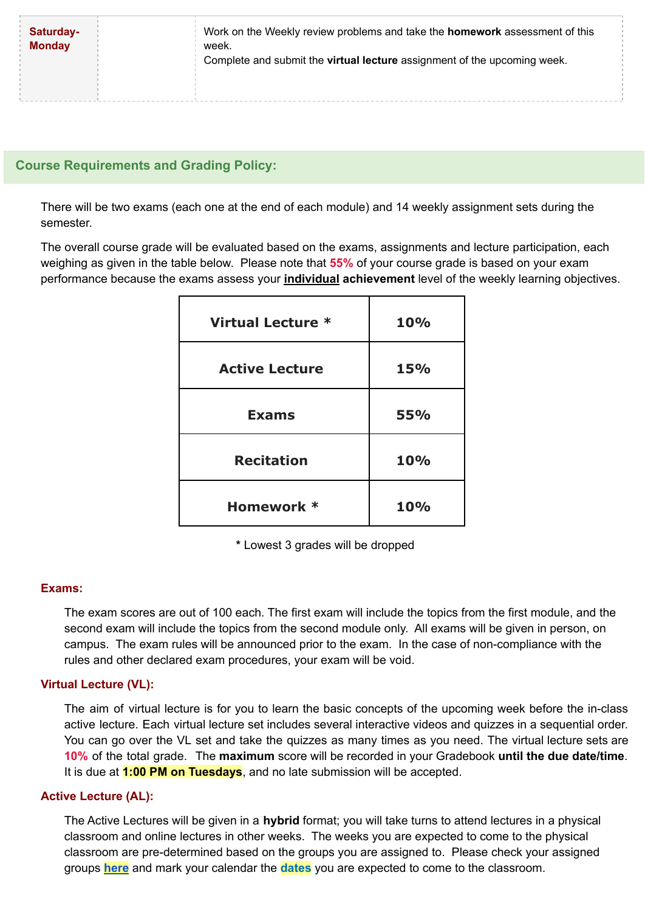| Saturday-<br><b>Monday</b> | Work on the Weekly review problems and take the <b>homework</b> assessment of this<br>week.<br>Complete and submit the <b>virtual lecture</b> assignment of the upcoming week. |  |
|----------------------------|--------------------------------------------------------------------------------------------------------------------------------------------------------------------------------|--|
|                            |                                                                                                                                                                                |  |
|                            |                                                                                                                                                                                |  |
|                            |                                                                                                                                                                                |  |
|                            |                                                                                                                                                                                |  |

# **Course Requirements and Grading Policy:**

There will be two exams (each one at the end of each module) and 14 weekly assignment sets during the semester.

The overall course grade will be evaluated based on the exams, assignments and lecture participation, each weighing as given in the table below. Please note that **55%** of your course grade is based on your exam performance because the exams assess your **individual achievement** level of the weekly learning objectives.

| Virtual Lecture *     | 10%        |
|-----------------------|------------|
| <b>Active Lecture</b> | 15%        |
| <b>Exams</b>          | <b>55%</b> |
| <b>Recitation</b>     | 10%        |
| Homework *            | 10%        |

**\*** Lowest 3 grades will be dropped

## **Exams:**

The exam scores are out of 100 each. The first exam will include the topics from the first module, and the second exam will include the topics from the second module only. All exams will be given in person, on campus. The exam rules will be announced prior to the exam. In the case of non-compliance with the rules and other declared exam procedures, your exam will be void.

## **Virtual Lecture (VL):**

The aim of virtual lecture is for you to learn the basic concepts of the upcoming week before the in-class active lecture. Each virtual lecture set includes several interactive videos and quizzes in a sequential order. You can go over the VL set and take the quizzes as many times as you need. The virtual lecture sets are **10%** of the total grade. The **maximum** score will be recorded in your Gradebook **until the due date/time**. It is due at **1:00 PM on Tuesdays**, and no late submission will be accepted.

#### **Active Lecture (AL):**

The Active Lectures will be given in a **hybrid** format; you will take turns to attend lectures in a physical classroom and online lectures in other weeks. The weeks you are expected to come to the physical classroom are pre-determined based on the groups you are assigned to. Please check your assigned groups **[here](https://sucourse.sabanciuniv.edu/plus/pluginfile.php/326837/mod_label/intro/NS102-GroupAssignment.pdf)** and mark your calendar the **[dates](https://sucourse.sabanciuniv.edu/plus/pluginfile.php/326837/mod_label/intro/NS102-GroupSchedule.pdf)** you are expected to come to the classroom.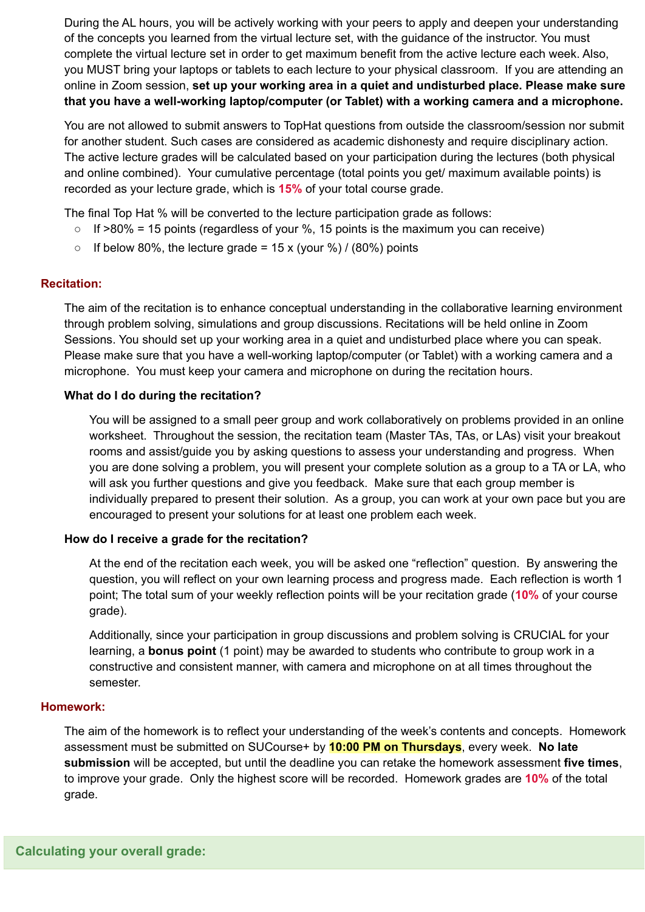During the AL hours, you will be actively working with your peers to apply and deepen your understanding of the concepts you learned from the virtual lecture set, with the guidance of the instructor. You must complete the virtual lecture set in order to get maximum benefit from the active lecture each week. Also, you MUST bring your laptops or tablets to each lecture to your physical classroom. If you are attending an online in Zoom session, **set up your working area in a quiet and undisturbed place. Please make sure that you have a well-working laptop/computer (or Tablet) with a working camera and a microphone.**

You are not allowed to submit answers to TopHat questions from outside the classroom/session nor submit for another student. Such cases are considered as academic dishonesty and require disciplinary action. The active lecture grades will be calculated based on your participation during the lectures (both physical and online combined). Your cumulative percentage (total points you get/ maximum available points) is recorded as your lecture grade, which is **15%** of your total course grade.

The final Top Hat % will be converted to the lecture participation grade as follows:

- $\circ$  If >80% = 15 points (regardless of your %, 15 points is the maximum you can receive)
- $\circ$  If below 80%, the lecture grade = 15 x (your %) / (80%) points

## **Recitation:**

The aim of the recitation is to enhance conceptual understanding in the collaborative learning environment through problem solving, simulations and group discussions. Recitations will be held online in Zoom Sessions. You should set up your working area in a quiet and undisturbed place where you can speak. Please make sure that you have a well-working laptop/computer (or Tablet) with a working camera and a microphone. You must keep your camera and microphone on during the recitation hours.

#### **What do I do during the recitation?**

You will be assigned to a small peer group and work collaboratively on problems provided in an online worksheet. Throughout the session, the recitation team (Master TAs, TAs, or LAs) visit your breakout rooms and assist/guide you by asking questions to assess your understanding and progress. When you are done solving a problem, you will present your complete solution as a group to a TA or LA, who will ask you further questions and give you feedback. Make sure that each group member is individually prepared to present their solution. As a group, you can work at your own pace but you are encouraged to present your solutions for at least one problem each week.

#### **How do I receive a grade for the recitation?**

At the end of the recitation each week, you will be asked one "reflection" question. By answering the question, you will reflect on your own learning process and progress made. Each reflection is worth 1 point; The total sum of your weekly reflection points will be your recitation grade (**10%** of your course grade).

Additionally, since your participation in group discussions and problem solving is CRUCIAL for your learning, a **bonus point** (1 point) may be awarded to students who contribute to group work in a constructive and consistent manner, with camera and microphone on at all times throughout the semester.

#### **Homework:**

The aim of the homework is to reflect your understanding of the week's contents and concepts. Homework assessment must be submitted on SUCourse+ by **10:00 PM on Thursdays**, every week. **No late submission** will be accepted, but until the deadline you can retake the homework assessment **five times**, to improve your grade. Only the highest score will be recorded. Homework grades are **10%** of the total grade.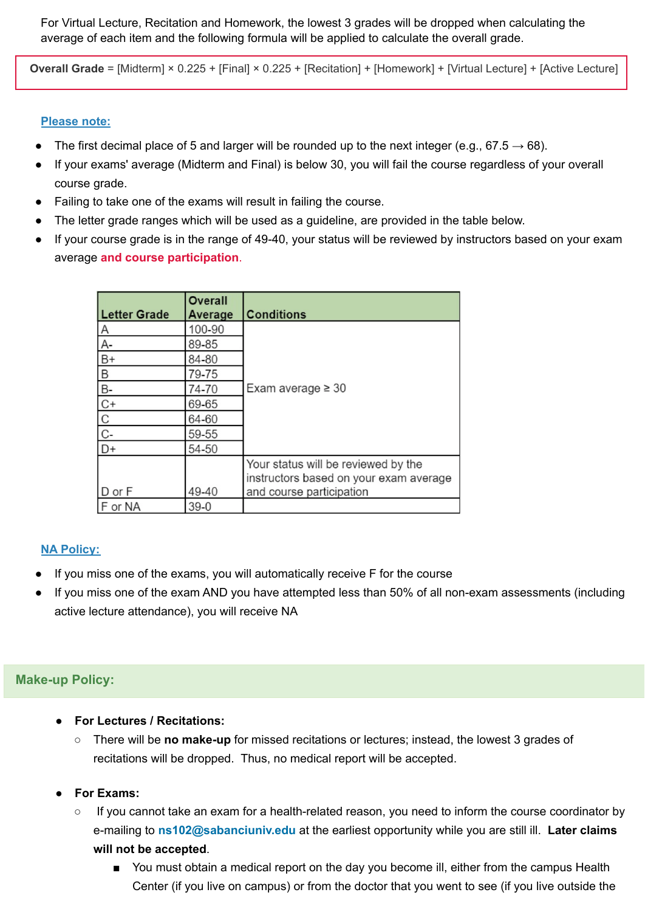For Virtual Lecture, Recitation and Homework, the lowest 3 grades will be dropped when calculating the average of each item and the following formula will be applied to calculate the overall grade.

**Overall Grade** = [Midterm] × 0.225 + [Final] × 0.225 + [Recitation] + [Homework] + [Virtual Lecture] + [Active Lecture]

#### **Please note:**

- The first decimal place of 5 and larger will be rounded up to the next integer (e.g., 67.5  $\rightarrow$  68).
- If your exams' average (Midterm and Final) is below 30, you will fail the course regardless of your overall course grade.
- Failing to take one of the exams will result in failing the course.
- The letter grade ranges which will be used as a guideline, are provided in the table below.
- If your course grade is in the range of 49-40, your status will be reviewed by instructors based on your exam average **and course participation**.

| <b>Letter Grade</b>  | <b>Overall</b><br>Average | <b>Conditions</b>                                                                                         |  |
|----------------------|---------------------------|-----------------------------------------------------------------------------------------------------------|--|
| $\mathsf{A}$         | 100-90                    |                                                                                                           |  |
| A-                   | 89-85                     |                                                                                                           |  |
| $B+$                 | 84-80                     |                                                                                                           |  |
| Β                    | 79-75                     |                                                                                                           |  |
| <b>B-</b>            | 74-70                     | Exam average $\geq 30$                                                                                    |  |
| $C+$                 | 69-65                     |                                                                                                           |  |
| $\mathbf C$          | 64-60                     |                                                                                                           |  |
| $\mathbb{C}\text{-}$ | 59-55                     |                                                                                                           |  |
| $D+$                 | 54-50                     |                                                                                                           |  |
| D or F               | 49-40                     | Your status will be reviewed by the<br>instructors based on your exam average<br>and course participation |  |
| F or NA              | $39-0$                    |                                                                                                           |  |

#### **NA Policy:**

- If you miss one of the exams, you will automatically receive F for the course
- If you miss one of the exam AND you have attempted less than 50% of all non-exam assessments (including active lecture attendance), you will receive NA

### **Make-up Policy:**

- **For Lectures / Recitations:**
	- There will be **no make-up** for missed recitations or lectures; instead, the lowest 3 grades of recitations will be dropped. Thus, no medical report will be accepted.
- **For Exams:**
	- If you cannot take an exam for a health-related reason, you need to inform the course coordinator by e-mailing to **ns102@sabanciuniv.edu** at the earliest opportunity while you are still ill. **Later claims will not be accepted**.
		- You must obtain a medical report on the day you become ill, either from the campus Health Center (if you live on campus) or from the doctor that you went to see (if you live outside the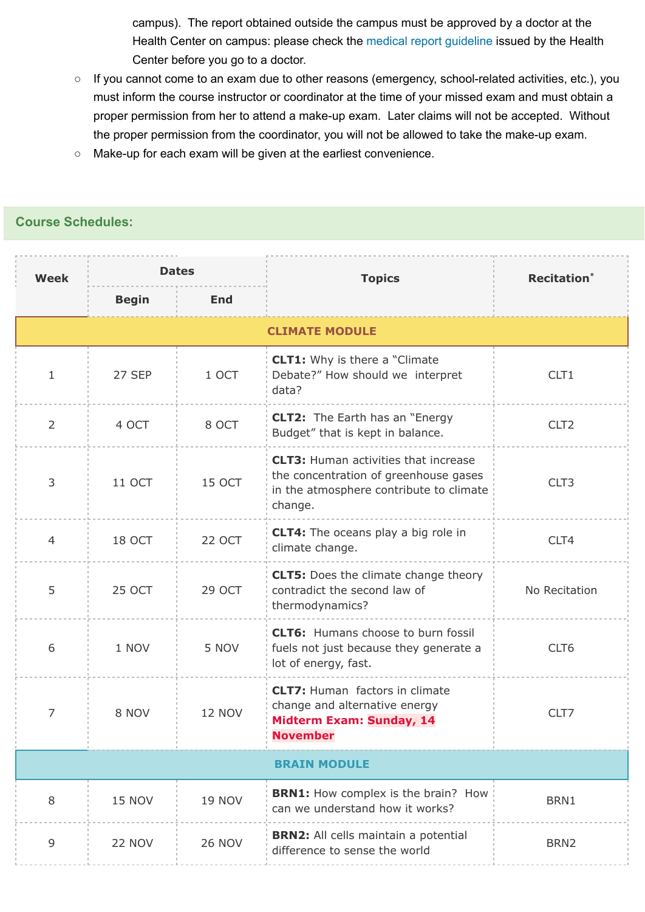campus). The report obtained outside the campus must be approved by a doctor at the Health Center on campus: please check the medical report [guideline](http://mysu.sabanciuniv.edu/surecharitasi/tr/yonerge/ogrenci-hastalik-raporu-yonergesi) issued by the Health Center before you go to a doctor.

- If you cannot come to an exam due to other reasons (emergency, school-related activities, etc.), you must inform the course instructor or coordinator at the time of your missed exam and must obtain a proper permission from her to attend a make-up exam. Later claims will not be accepted. Without the proper permission from the coordinator, you will not be allowed to take the make-up exam.
- Make-up for each exam will be given at the earliest convenience.

## **Course Schedules:**

| <b>Week</b>         | <b>Dates</b>          |               | <b>Topics</b>                                                                                                                              | <b>Recitation</b> <sup>*</sup> |  |  |  |
|---------------------|-----------------------|---------------|--------------------------------------------------------------------------------------------------------------------------------------------|--------------------------------|--|--|--|
|                     | <b>Begin</b>          | End           |                                                                                                                                            |                                |  |  |  |
|                     | <b>CLIMATE MODULE</b> |               |                                                                                                                                            |                                |  |  |  |
| $\mathbf{1}$        | 27 SEP                | 1 OCT         | <b>CLT1:</b> Why is there a "Climate<br>Debate?" How should we interpret<br>data?                                                          | CLT <sub>1</sub>               |  |  |  |
| $\overline{2}$      | 4 OCT                 | 8 OCT         | <b>CLT2:</b> The Earth has an "Energy<br>Budget" that is kept in balance.                                                                  | CLT <sub>2</sub>               |  |  |  |
| 3                   | 11 OCT                | 15 OCT        | <b>CLT3:</b> Human activities that increase<br>the concentration of greenhouse gases<br>in the atmosphere contribute to climate<br>change. | CLT3                           |  |  |  |
| $\overline{4}$      | 18 OCT                | <b>22 OCT</b> | <b>CLT4:</b> The oceans play a big role in<br>climate change.                                                                              | CLT4                           |  |  |  |
| 5                   | <b>25 OCT</b>         | 29 OCT        | <b>CLT5:</b> Does the climate change theory<br>contradict the second law of<br>thermodynamics?                                             | No Recitation                  |  |  |  |
| 6                   | 1 NOV                 | 5 NOV         | <b>CLT6:</b> Humans choose to burn fossil<br>fuels not just because they generate a<br>lot of energy, fast.                                | CLT6                           |  |  |  |
| 7                   | 8 NOV                 | <b>12 NOV</b> | <b>CLT7: Human factors in climate</b><br>change and alternative energy<br><b>Midterm Exam: Sunday, 14</b><br><b>November</b>               | CLT7                           |  |  |  |
| <b>BRAIN MODULE</b> |                       |               |                                                                                                                                            |                                |  |  |  |
| $8\,$               | <b>15 NOV</b>         | <b>19 NOV</b> | <b>BRN1:</b> How complex is the brain? How<br>can we understand how it works?                                                              | BRN1                           |  |  |  |
| 9                   | 22 NOV                | <b>26 NOV</b> | <b>BRN2:</b> All cells maintain a potential<br>difference to sense the world                                                               | BRN <sub>2</sub>               |  |  |  |